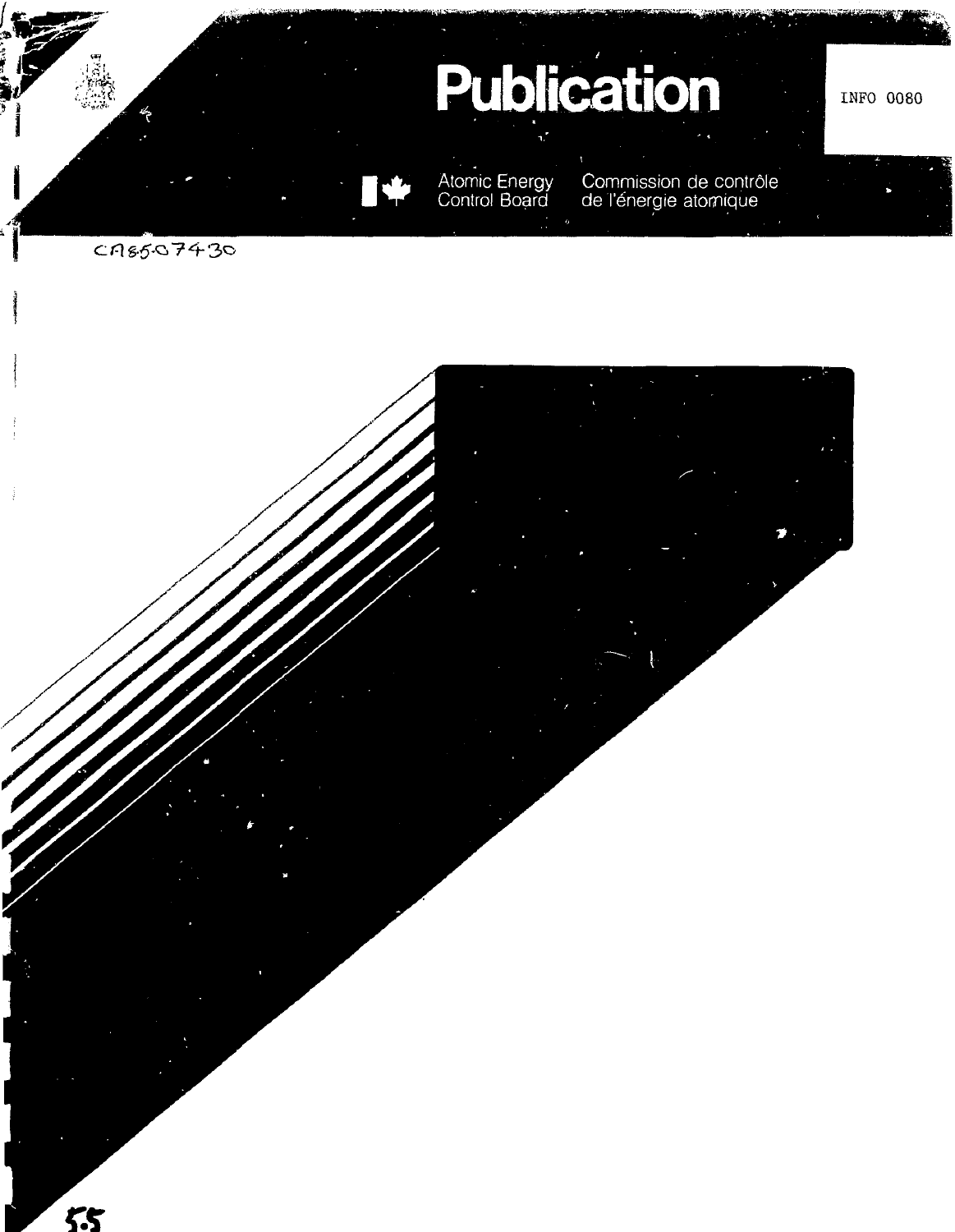

55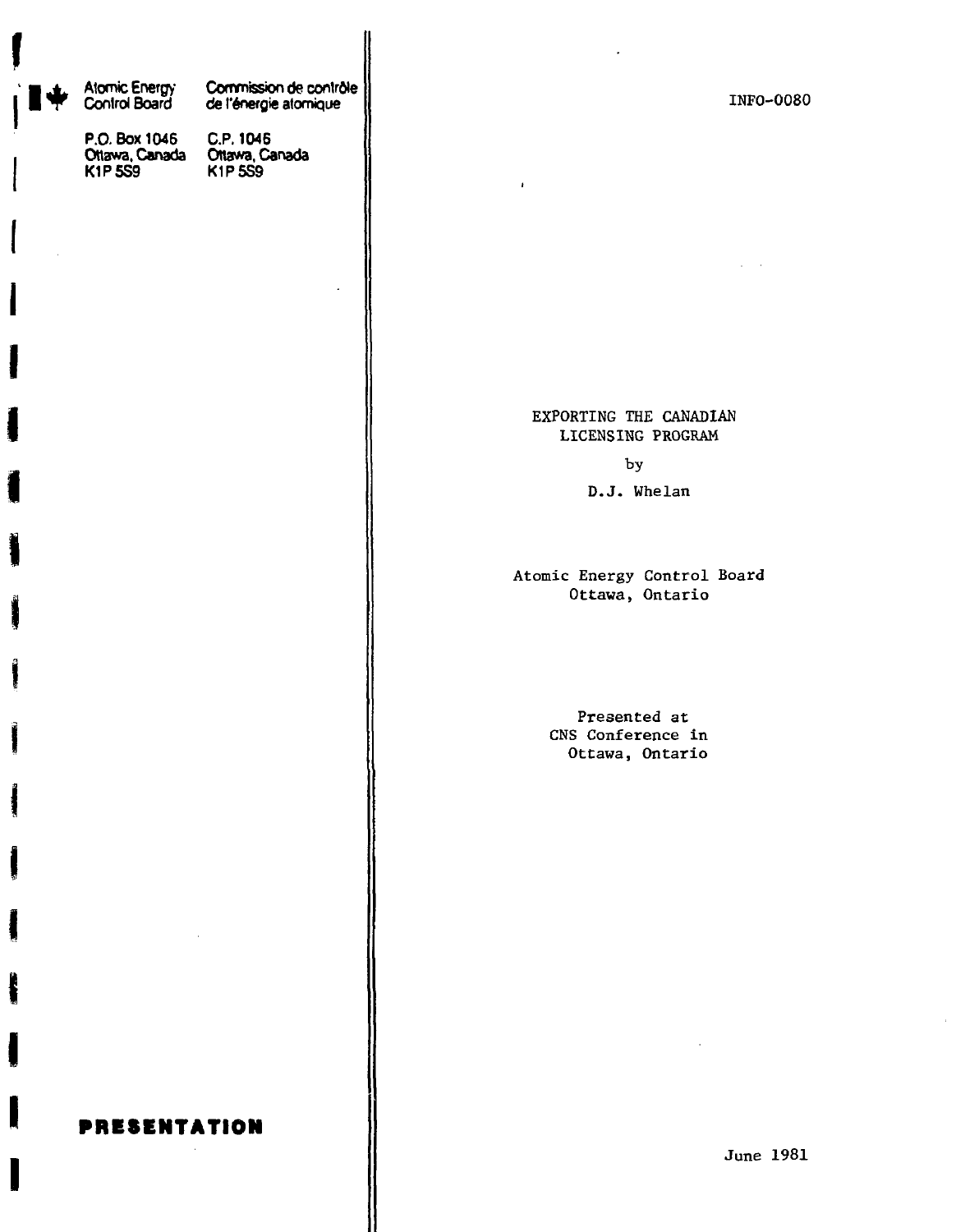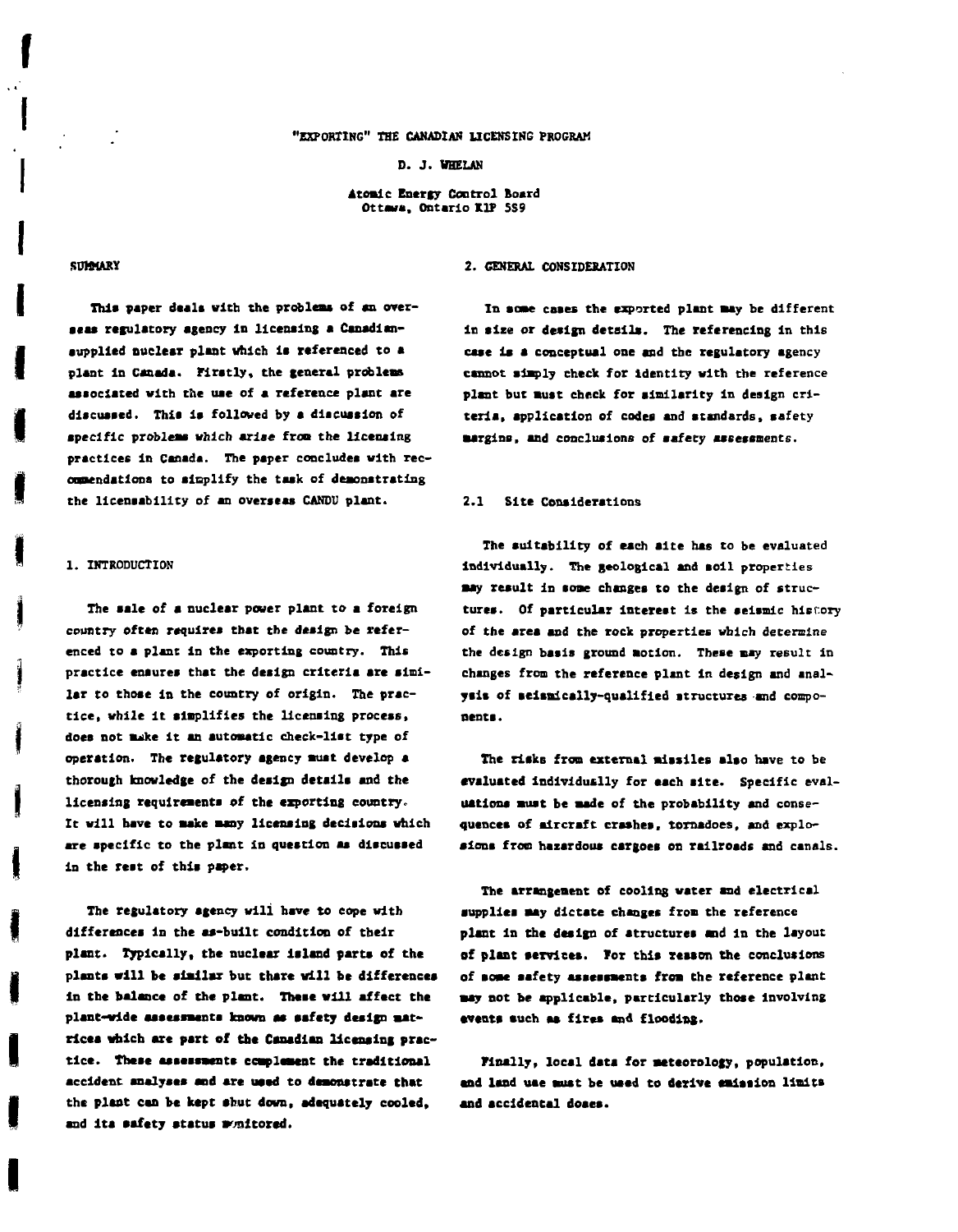### **"EXPORTING" THE CANADIAN LICENSING PROGRAM**

**D. J. VHELUJ**

**Atomic Energy Control Board Ottawa, Ontario KIP 5S9**

**I**

This paper deals with the problems of an over**acas retaliatory agency In licensing a Canadlanaupplled nuclear plant which la referenced to a plant in Canada. Firstly, the general problem associated with the uae of a reference plant are discussed. This Is followed by a discussion of specific problems which arise from the licensing practices in Canada. The paper concludes with recommendations to sinplify the task of demonstrating the llcensablllty of an overseas CANDU plant.**

## **1. INTRODUCTION**

**The sale of a nuclear power plant to a foreign country often requires that the design be referenced to a plant in the exporting country. This practice ensures thst the design criteria are similar to those In the country of origin. The practice, while it simplifies the licensing process, does not suike it an automatic check-list type of operation. The regulatory agency must develop a thorough knowledge of the design details and the licensing requirements of the exporting country. It will have to Bake many licensing decisions which are specific to the plant In question as discussed in the rest of this paper.**

**The regulatory agency will have to cope with differences in the as-built condition of their plant. Typically, the nuclear Island parts of the plants will be similar but there will be differences in the balance of the plant. These will affect the plant-wide assessments known as ssfety design matrices which are part of the Canadian licensing practice. These assessments c cap lament the traditional accident analyses and are used to demonstrate that the plant can be kept abut down, adequately cooled, and Its ssfety status monitored.**

# **SUMMARY 2. GENERAL CONSIDERATION**

**In some esses the exported plant Bay be different in size or design details. The referencing In this case is a conceptual one and the regulatory agency cannot simply check for identity with the reference plant but Bust check for similarity in design criteria, application of codes and standards, safety Bargiss, and conclusions of safety assessments.**

## **2.1 Site Considerations**

**The suitability of each aite has to be evaluated Individually. The geological and soil properties Bay result In soae changes to the design of structures. Of particular Interest is the seismic history of the area and the rock properties which determine the design basis ground motion. These may result in changes from the reference plant In design and analysis of selsaically-quallfied structures and components.**

**The risks from external missiles also have to be evaluated individually for each alte. Specific evaluations must be made of the probability and consequences of aircraft crashes, tornadoes, and explosions from hazardous cargoes os railroads and canals.**

**The arrangement of cooling water and electrical supplies aay dictate changes from the reference plant In the design of structures and In the layout of plant services. TOT this reason the conclusions of BOBC safety assessments from the reference plant say not be applicable, particularly those involving •vents such as fires and flooding.**

**Finally, local data for meteorology, population, and land uae Bust be used to derive emission limits and accidental doaea.**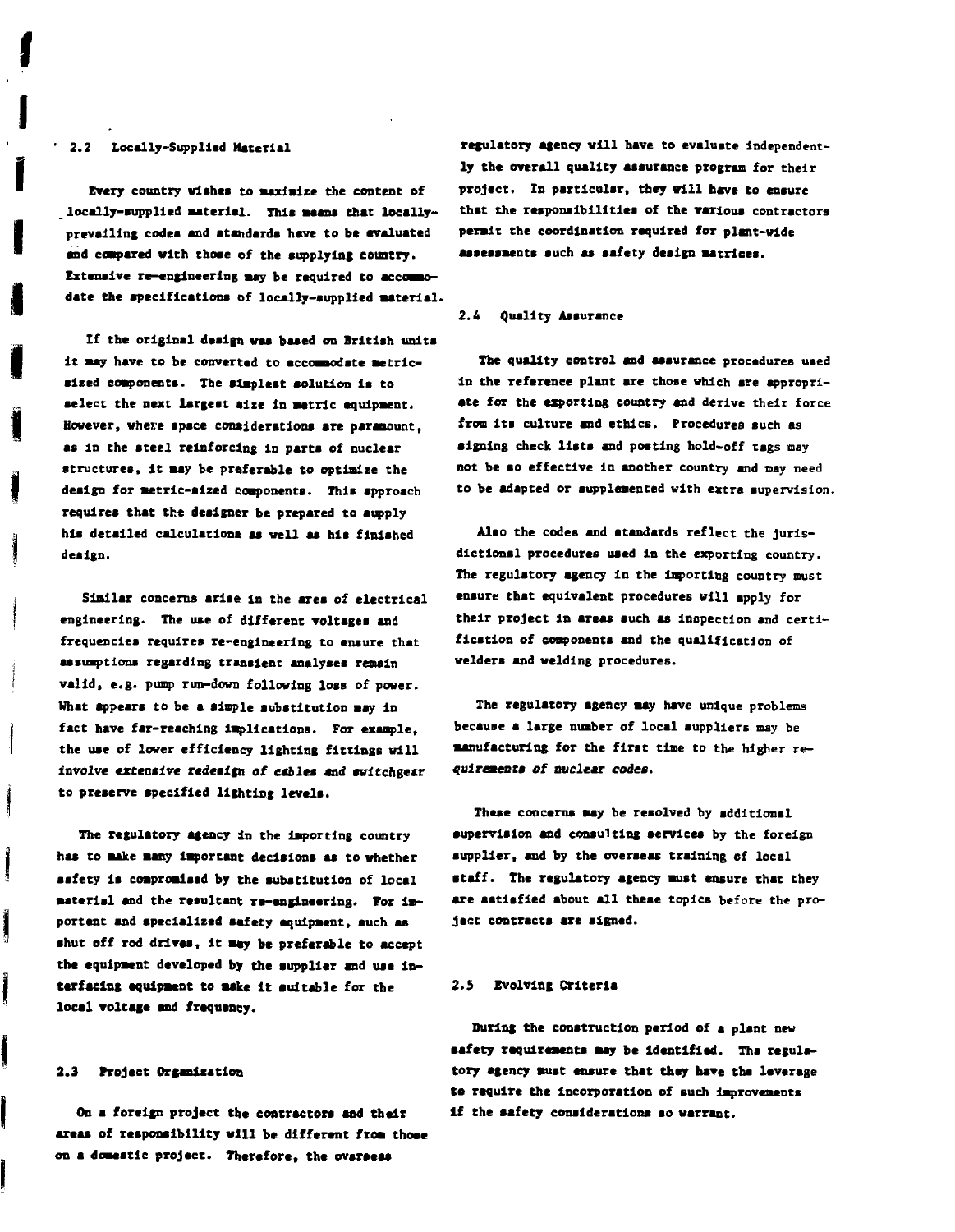# **• 2.2 Locally-Supplied Material**

**I**

**Every country wishes to maximize the content of locally-aupplied material. Thla aeana that locally**prevailing codes and standards have to be evaluated **and compared with thoae of the supplying country. Extensive re-engineering may be required to accommodate the specifications of locally-aupplied material.**

**If the original design waa baaed on British units it may have to be converted to accommodate metricsired components. The simplest solution is to select the next largest alze in metric equipment. However, where space considerations are paramount, as In the ateel reinforcing in parts of nuclear structures, it may be preferable to optimize the design for metric-sized components. This approach requires that the designer be prepared to supply his detailed calculations aa well aa his finished design.**

**Similar concerns arise In the area of electrical engineering. The use of different voltages and frequencies requires re-engineering to ensure that assumptions regarding transient analyses remain valid, e.g. pump run-down following loss of power. What appears to be a simple substitution may in fact have far-reaching Implications. For example, the use of lower efficiency lighting fittings will Involve extensive redesign of cables and tvltchgesr to preserve specified lighting levels.**

**The regulatory agency in the importing country has to make many Important decisions as to whether safety la compromised by the substitution of local material and the resultant re-engineering. Tor important and apeciallsed safety equipment, such as ahut off rod drives. It may be preferable to accept the equipment developed by the supplier and use interfacing equipment to make it suitable for the local voltage and frequency.**

### **2.3 Project Organization**

Ĭ

**On a foreign project the contractors and their areas of responsibility will be different from those on a domsstlc project. Therefore, the overseas**

**regulatory agency will have to evaluate independently the overall quality assurance program for their project. In particular, they will have to ensure that the responsibilities of the various contrsctors permit the coordination required for plant-wide assessments such as safety design matrices.**

## **2.4 Quality Assurance**

**The quality control and assurance procedures used In the reference plant are those which are appropriate for the exporting country and derive their force from Its culture and ethics. Procedures such as signing check lists and posting hold-off tags may not be so effective In another country and may need to be adapted or aupplemented with extra supervision.**

**Also the codes and standards reflect the Juris**dictional procedures used in the exporting country. **The regulatory agency in the Importing country must ensure that equivalent procedures will apply for their project In areas such as inspection and certification of conponente and the qualification of welders and welding procedures.**

**The regulatory agency may have unique problems because a large number of local suppliers may be manufacturing for the first time to the higher requirements of nuclear codes.**

**These concerns may be reaolved by additional supervision and consulting services by the foreign supplier, and by the overseas training of local •taff. The regulatory agency must ensure that they are satisfied about all theae topics before the project contracts are signed.**

## **2.5 Evolving Criteria**

**During the construction period of a plant new safety requirements may be Identified. The regulatory agency must ensure that they have the leverage to require the Incorporation of such improvements** if the safety considerations so warrant.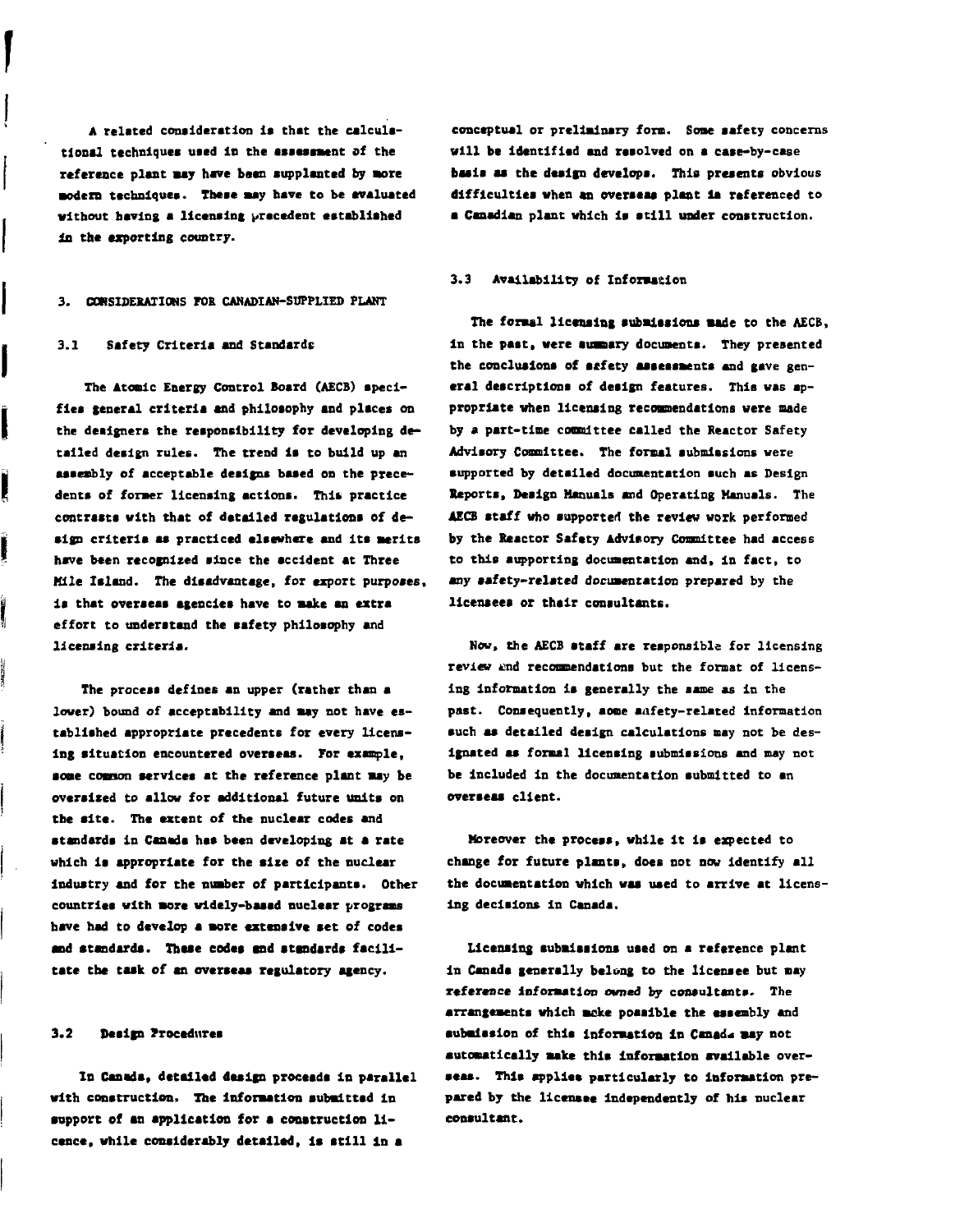**A related consideration is that the calcula**tional techniques used in the assessment of the **reference plant may have bean supplanted by Bore modern techniques. These may have to be evaluated without having a licencing precedent established in the exporting country.**

### **3. CONSIDERATIONS FOR CANADIAN-SUPPLIED PLANT**

## **3.1 Safety Criteria and Standards**

ļ

ĺ

ļ

**The Atonic Energy Control Board (AECB) specifies general criteria and philosophy and places on the designers the responsibility for developing detailed design rules. The trend is to build up an assesibly of acceptable designs bssed on the precedents of former licensing actions. Thit practice contrasts with that of detailed regulations of design criteria as practiced elsewhere and its merits have been recognized since the accident at Three Mile Island. The disadvantage, for export purposes, is that overaeaa agencies have to make an extra effort to understand the aafety philosophy and licensing criteria.**

**The process defines an upper (rather than a lower) bound of acceptability and aay not have established appropriate precedents for every licensing altuation encountered overseas. For example,** some common services at the reference plant may be **oversized to allow for additional future units on the site. The extent of the nuclear codes and standards in Canada has been developing at a rate which is appropriate for the size of the nuclear Industry and for the number of participants. Other countries with more widely-based nuelesr programs have had to develop a more extensive act of codes and standards. These codes and standards facilitate the task of an overseas regulatory agency.**

# **3.2 Design Frocedures**

**In Canada, detailed design proceeds in parallel with construction. The information submitted in support of an application for a construction licence, while considerably detailed, is still In a**

**conceptual or preliminary form. Some aafety concerns will be Identified and resolved on s case-by-case basla as the design develops. This presents obvious difficulties when an overseas plant la referenced to a Canadian plant which is still under construction.**

# **3.3 Availability of Information**

**The formal licensing submissions made to the AECB, in the past, were aumaary documents. They presented** the conclusions of sefety assessments and gave gen**eral description! of design features. This was appropriate when licensing recommendations were made by a part-time committee called the Reactor Safety Advisory Committee. The formsl submissions were supported by detailed documentation such as Design Reporti, Design Manuals and Operating Manuals. The AECB staff who supporter! the review work performed by the Reactor Safety Advisory Comittee had access to this supporting documentation and, In fact, to any aafety-related documentation prepared by the licensees or their consultants.**

**Now, the AECB staff are responsible for licensing review and reconundations but the format of licensing information la generally the same as in the past. Consequently, some safety-related information auch as detailed design calculations may not be designated as formal licensing submissions and may not be included in the documentation submitted to an overseas client.**

**Moreover the process, while it is expected to change for future plants, does not now identify all the documentation which waa used to arrive at licens**ing decisions in Canada.

**Licensing submissions used on a reference plant in Canada generally belong to the licensee but may reference information owned by consultants. The arrangements which moke poaaible the assembly and submission of this information in Canada may not automatically make this information available overseas. This applies particularly to Information prepared by the licensee independently of his nuclear consultant.**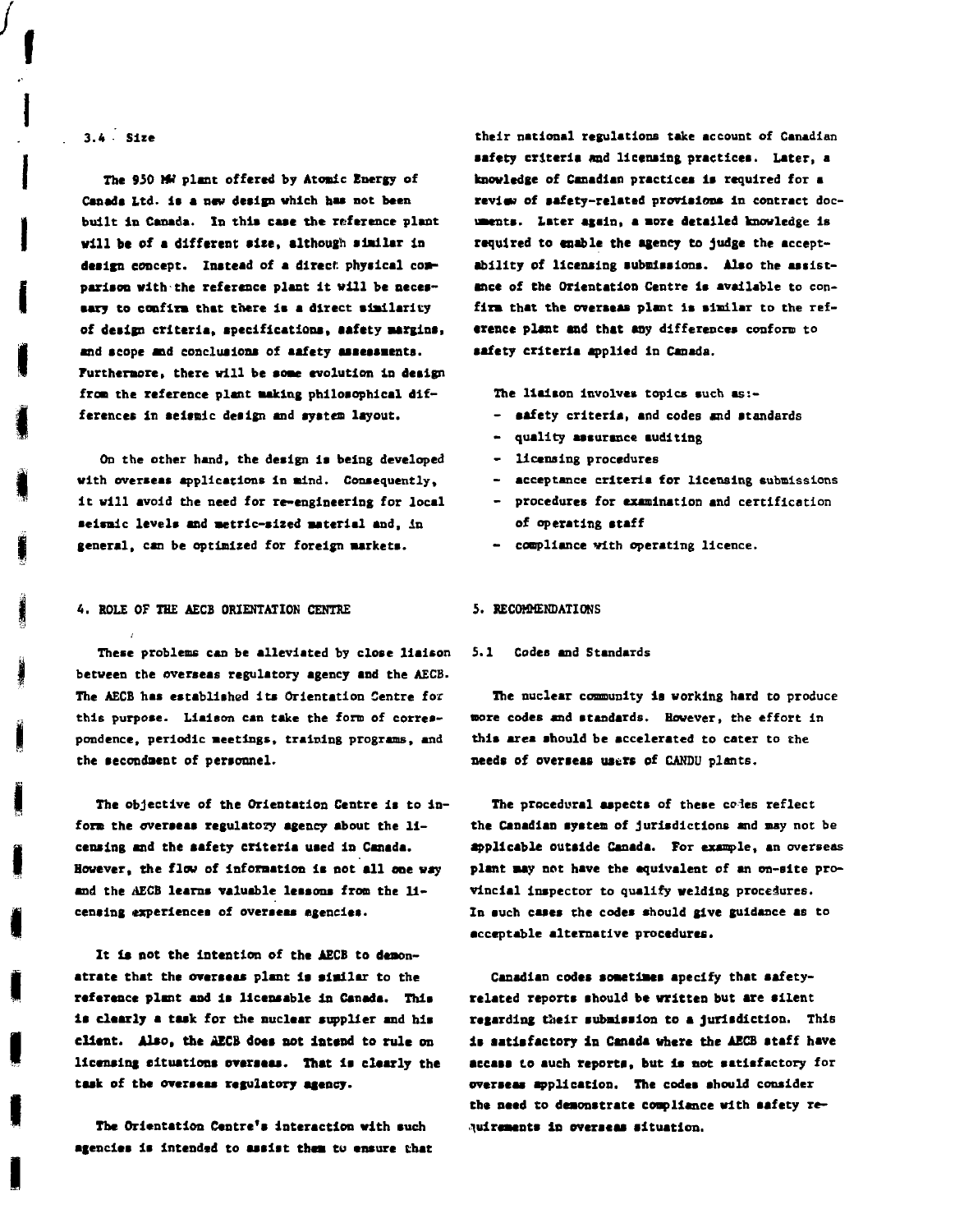# **3.4 - Sice**

**I**

**The 950 MM plant offered by Atonic Energy of** Canada Ltd. is a new design which has not been **built In Canada. In this caae the reference plant will be of a different sice, although almllar In** design concept. Instead of a direct physical com**pariaon with the reference plant It will be necesaary to confirm that there la a direct similarity of deiign criteria, apecificationa, aafcty margins• and a cope and conduaiona of aafety assessments. Furthermore, there will be some evolution in design froai the reference plant making philosophical differences in aeltnlc deiign and system layout.**

**On the other hand, the design is being developed with overseas applications in mind. Consequently, It will avoid the need for re-engineering for local aelsalc levels and metric-sized material and, In general, can be optimized for foreign markets.**

## **4. ROLE OF THE AECB ORIENTATION CENTRE 5. RECOMMENDATIONS**

**These problems can be alleviated by close liaison S.I Codes and Standards between the overseas regulatory agency and the AECB. The AECB has established its Orientation Centre for this purpose. Liaison can take the form of correspondence, periodic meetings, training programs, and the secondaent of personnel.**

**The objective of the Orientation Centre la to Inform the overseas regulatory agency about the licensing and the aafety criteria uaed In Canada. However, the flow of Information la not all one way and the AECB learns valuable lessons from the licensing experiences of overseas agencies.**

**It Is not the Intention of the AECB to demonstrate that the overseas plant It similar to the reference plant and is llcensable In Canada. This is clearly a taak for the nuclear supplier and bis** client. Also, the AECB does not intend to rule on **licensing situations overseas. That Is clearly the task of the overseas regulatory agency.**

**The Orientation Centre's Interaction with such agencies Is Intended to assist them to ensure that** **their national regulations take account of Canadian aafety criteria and licensing practicea. Later, a knowledge of Canadian practicea la required for a review of safety-related provisions in contract documents. Later again, a more detailed knowledge is required to enable the agency to judge the acceptability of licensing submissions. Also the assistance of the Orientation Centre is available to confirm that the overseas plant Is similar to the reference plant and that any differences conform to aafety criteria applied In Canada.**

**The liaison involves topics such as:-**

- **aafety criteria, and codes and standards**
- **quality assurance auditing**
- **licensing procedures**
- **acceptance criteria for licensing submissions**
- **procedures for examination and certification of operating ataff**
- **compliance with operating licence.**

**The nuclear community is working hard to produce more codes and standards. However, the effort In this area should be accelerated to cater to the needs of overseas users of CANDU plants.**

**The procedural aspecta of these coles reflect the Canadian system of Jurisdictions and may not be applicable outside Canada. For example, an overseas plant may not have the equivalent of an on-site provincial Inspector to qualify welding procedures. In such cases the codes should give guidance as to acceptable alternative procedures.**

**Canadian codes sometimes specify that safetyrelated reports should be written but axe silent** regarding their submission to a jurisdiction. This **It satisfactory in Canada where the AECB ataff have •eeass to such reports, but Is not satisfactory for overseas application. The codes should consider the need to demonstrate compliance with aafety requirements in overseas situation.**